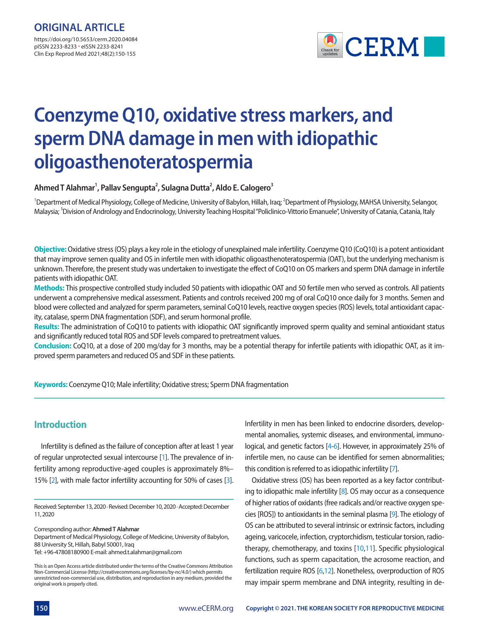pISSN 2233-8233 · eISSN 2233-8241 Clin Exp Reprod Med 2021;48(2):150-155



# **Coenzyme Q10, oxidative stress markers, and sperm DNA damage in men with idiopathic oligoasthenoteratospermia**

**Ahmed T Alahmar1 , Pallav Sengupta2 , Sulagna Dutta2 , Aldo E. Calogero3**

<sup>1</sup>Department of Medical Physiology, College of Medicine, University of Babylon, Hillah, Iraq; <sup>2</sup>Department of Physiology, MAHSA University, Selangor, Malaysia; <sup>3</sup>Division of Andrology and Endocrinology, University Teaching Hospital "Policlinico-Vittorio Emanuele", University of Catania, Catania, Italy

**Objective:** Oxidative stress (OS) plays a key role in the etiology of unexplained male infertility. Coenzyme Q10 (CoQ10) is a potent antioxidant that may improve semen quality and OS in infertile men with idiopathic oligoasthenoteratospermia (OAT), but the underlying mechanism is unknown. Therefore, the present study was undertaken to investigate the effect of CoQ10 on OS markers and sperm DNA damage in infertile patients with idiopathic OAT.

**Methods:** This prospective controlled study included 50 patients with idiopathic OAT and 50 fertile men who served as controls. All patients underwent a comprehensive medical assessment. Patients and controls received 200 mg of oral CoQ10 once daily for 3 months. Semen and blood were collected and analyzed for sperm parameters, seminal CoQ10 levels, reactive oxygen species (ROS) levels, total antioxidant capacity, catalase, sperm DNA fragmentation (SDF), and serum hormonal profile.

**Results:** The administration of CoQ10 to patients with idiopathic OAT significantly improved sperm quality and seminal antioxidant status and significantly reduced total ROS and SDF levels compared to pretreatment values.

**Conclusion:** CoQ10, at a dose of 200 mg/day for 3 months, may be a potential therapy for infertile patients with idiopathic OAT, as it improved sperm parameters and reduced OS and SDF in these patients.

**Keywords:** Coenzyme Q10; Male infertility; Oxidative stress; Sperm DNA fragmentation

# **Introduction**

Infertility is defined as the failure of conception after at least 1 year of regular unprotected sexual intercourse [\[1\]](#page-4-7). The prevalence of infertility among reproductive-aged couples is approximately 8%– 15% [\[2](#page-4-8)], with male factor infertility accounting for 50% of cases [\[3\]](#page-4-9).

Received: September 13, 2020 ∙ Revised: December 10, 2020 ∙ Accepted: December 11, 2020

Corresponding author: **Ahmed T Alahmar**

Department of Medical Physiology, College of Medicine, University of Babylon, 88 University St, Hillah, Babyl 50001, Iraq Tel: +96-47808180900 E-mail: ahmed.t.alahmar@gmail.com

**This is an Open Access article distributed under the terms of the Creative Commons Attribution Non-Commercial License (http://creativecommons.org/licenses/by-nc/4.0/) which permits unrestricted non-commercial use, distribution, and reproduction in any medium, provided the original work is properly cited.**

Infertility in men has been linked to endocrine disorders, developmental anomalies, systemic diseases, and environmental, immunological, and genetic factors [\[4](#page-4-0)[-6\]](#page-4-1). However, in approximately 25% of infertile men, no cause can be identified for semen abnormalities; this condition is referred to as idiopathic infertility [\[7\]](#page-4-2).

Oxidative stress (OS) has been reported as a key factor contributing to idiopathic male infertility  $[8]$ . OS may occur as a consequence of higher ratios of oxidants (free radicals and/or reactive oxygen species [ROS]) to antioxidants in the seminal plasma [\[9\]](#page-4-4). The etiology of OS can be attributed to several intrinsic or extrinsic factors, including ageing, varicocele, infection, cryptorchidism, testicular torsion, radiotherapy, chemotherapy, and toxins [\[10](#page-4-5)[,11\]](#page-4-6). Specific physiological functions, such as sperm capacitation, the acrosome reaction, and fertilization require ROS [\[6](#page-4-1)[,12](#page-5-0)]. Nonetheless, overproduction of ROS may impair sperm membrane and DNA integrity, resulting in de-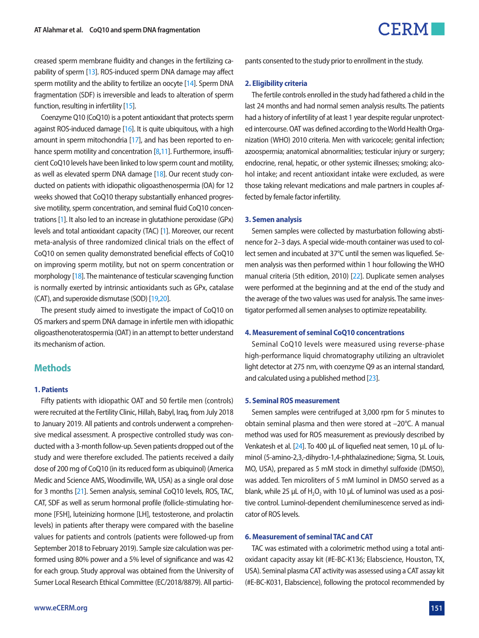

creased sperm membrane fluidity and changes in the fertilizing capability of sperm [\[13](#page-5-1)]. ROS-induced sperm DNA damage may affect sperm motility and the ability to fertilize an oocyte [\[14\]](#page-5-2). Sperm DNA fragmentation (SDF) is irreversible and leads to alteration of sperm function, resulting in infertility [\[15\]](#page-5-3).

Coenzyme Q10 (CoQ10) is a potent antioxidant that protects sperm against ROS-induced damage [\[16\]](#page-5-4). It is quite ubiquitous, with a high amount in sperm mitochondria [\[17\]](#page-5-5), and has been reported to en-hance sperm motility and concentration [\[8](#page-4-3)[,11](#page-4-6)]. Furthermore, insufficient CoQ10 levels have been linked to low sperm count and motility, as well as elevated sperm DNA damage [\[18](#page-5-6)]. Our recent study conducted on patients with idiopathic oligoasthenospermia (OA) for 12 weeks showed that CoQ10 therapy substantially enhanced progressive motility, sperm concentration, and seminal fluid CoQ10 concentrations [\[1](#page-4-7)]. It also led to an increase in glutathione peroxidase (GPx) levels and total antioxidant capacity (TAC) [\[1\]](#page-4-7). Moreover, our recent meta-analysis of three randomized clinical trials on the effect of CoQ10 on semen quality demonstrated beneficial effects of CoQ10 on improving sperm motility, but not on sperm concentration or morphology [\[18](#page-5-6)]. The maintenance of testicular scavenging function is normally exerted by intrinsic antioxidants such as GPx, catalase (CAT), and superoxide dismutase (SOD) [\[19,](#page-5-7)[20\]](#page-5-8).

The present study aimed to investigate the impact of CoQ10 on OS markers and sperm DNA damage in infertile men with idiopathic oligoasthenoteratospermia (OAT) in an attempt to better understand its mechanism of action.

# **Methods**

#### **1. Patients**

Fifty patients with idiopathic OAT and 50 fertile men (controls) were recruited at the Fertility Clinic, Hillah, Babyl, Iraq, from July 2018 to January 2019. All patients and controls underwent a comprehensive medical assessment. A prospective controlled study was conducted with a 3-month follow-up. Seven patients dropped out of the study and were therefore excluded. The patients received a daily dose of 200 mg of CoQ10 (in its reduced form as ubiquinol) (America Medic and Science AMS, Woodinville, WA, USA) as a single oral dose for 3 months [\[21\]](#page-5-9). Semen analysis, seminal CoQ10 levels, ROS, TAC, CAT, SDF as well as serum hormonal profile (follicle-stimulating hormone [FSH], luteinizing hormone [LH], testosterone, and prolactin levels) in patients after therapy were compared with the baseline values for patients and controls (patients were followed-up from September 2018 to February 2019). Sample size calculation was performed using 80% power and a 5% level of significance and was 42 for each group. Study approval was obtained from the University of Sumer Local Research Ethical Committee (EC/2018/8879). All participants consented to the study prior to enrollment in the study.

#### **2. Eligibility criteria**

The fertile controls enrolled in the study had fathered a child in the last 24 months and had normal semen analysis results. The patients had a history of infertility of at least 1 year despite regular unprotected intercourse. OAT was defined according to the World Health Organization (WHO) 2010 criteria. Men with varicocele; genital infection; azoospermia; anatomical abnormalities; testicular injury or surgery; endocrine, renal, hepatic, or other systemic illnesses; smoking; alcohol intake; and recent antioxidant intake were excluded, as were those taking relevant medications and male partners in couples affected by female factor infertility.

#### **3. Semen analysis**

Semen samples were collected by masturbation following abstinence for 2–3 days. A special wide-mouth container was used to collect semen and incubated at 37°C until the semen was liquefied. Semen analysis was then performed within 1 hour following the WHO manual criteria (5th edition, 2010) [\[22](#page-5-10)]. Duplicate semen analyses were performed at the beginning and at the end of the study and the average of the two values was used for analysis. The same investigator performed all semen analyses to optimize repeatability.

#### **4. Measurement of seminal CoQ10 concentrations**

Seminal CoQ10 levels were measured using reverse-phase high-performance liquid chromatography utilizing an ultraviolet light detector at 275 nm, with coenzyme Q9 as an internal standard, and calculated using a published method [\[23\]](#page-5-11).

#### **5. Seminal ROS measurement**

Semen samples were centrifuged at 3,000 rpm for 5 minutes to obtain seminal plasma and then were stored at –20°C. A manual method was used for ROS measurement as previously described by Venkatesh et al. [\[24](#page-5-12)]. To 400 µL of liquefied neat semen, 10 µL of luminol (5-amino-2,3,-dihydro-1,4-phthalazinedione; Sigma, St. Louis, MO, USA), prepared as 5 mM stock in dimethyl sulfoxide (DMSO), was added. Ten microliters of 5 mM luminol in DMSO served as a blank, while 25  $\mu$ L of H<sub>2</sub>O<sub>2</sub> with 10  $\mu$ L of luminol was used as a positive control. Luminol-dependent chemiluminescence served as indicator of ROS levels.

#### **6. Measurement of seminal TAC and CAT**

TAC was estimated with a colorimetric method using a total antioxidant capacity assay kit (#E-BC-K136; Elabscience, Houston, TX, USA). Seminal plasma CAT activity was assessed using a CAT assay kit (#E-BC-K031, Elabscience), following the protocol recommended by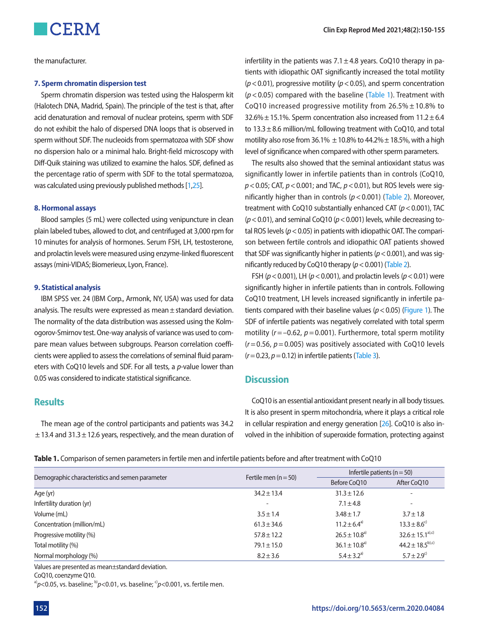the manufacturer.

#### **7. Sperm chromatin dispersion test**

Sperm chromatin dispersion was tested using the Halosperm kit (Halotech DNA, Madrid, Spain). The principle of the test is that, after acid denaturation and removal of nuclear proteins, sperm with SDF do not exhibit the halo of dispersed DNA loops that is observed in sperm without SDF. The nucleoids from spermatozoa with SDF show no dispersion halo or a minimal halo. Bright-field microscopy with Diff-Quik staining was utilized to examine the halos. SDF, defined as the percentage ratio of sperm with SDF to the total spermatozoa, was calculated using previously published methods [\[1](#page-4-7)[,25](#page-5-13)].

#### **8. Hormonal assays**

Blood samples (5 mL) were collected using venipuncture in clean plain labeled tubes, allowed to clot, and centrifuged at 3,000 rpm for 10 minutes for analysis of hormones. Serum FSH, LH, testosterone, and prolactin levels were measured using enzyme-linked fluorescent assays (mini-VIDAS; Biomerieux, Lyon, France).

#### **9. Statistical analysis**

IBM SPSS ver. 24 (IBM Corp., Armonk, NY, USA) was used for data analysis. The results were expressed as mean ± standard deviation. The normality of the data distribution was assessed using the Kolmogorov-Smirnov test. One-way analysis of variance was used to compare mean values between subgroups. Pearson correlation coefficients were applied to assess the correlations of seminal fluid parameters with CoQ10 levels and SDF. For all tests, a *p*-value lower than 0.05 was considered to indicate statistical significance.

# **Results**

The mean age of the control participants and patients was 34.2  $\pm$  13.4 and 31.3  $\pm$  12.6 years, respectively, and the mean duration of infertility in the patients was  $7.1 \pm 4.8$  years. CoO10 therapy in patients with idiopathic OAT significantly increased the total motility (*p*< 0.01), progressive motility (*p*< 0.05), and sperm concentration (*p*< 0.05) compared with the baseline ([Table 1\)](#page-2-0). Treatment with CoQ10 increased progressive motility from  $26.5\% \pm 10.8\%$  to 32.6%  $\pm$  15.1%. Sperm concentration also increased from 11.2  $\pm$  6.4 to  $13.3 \pm 8.6$  million/mL following treatment with CoQ10, and total motility also rose from 36.1%  $\pm$  10.8% to 44.2%  $\pm$  18.5%, with a high level of significance when compared with other sperm parameters.

The results also showed that the seminal antioxidant status was significantly lower in infertile patients than in controls (CoQ10, *p*< 0.05; CAT, *p*< 0.001; and TAC, *p*< 0.01), but ROS levels were significantly higher than in controls (*p*< 0.001) [\(Table 2](#page-3-0)). Moreover, treatment with CoQ10 substantially enhanced CAT (*p*< 0.001), TAC (*p*< 0.01), and seminal CoQ10 (*p*< 0.001) levels, while decreasing total ROS levels (*p*< 0.05) in patients with idiopathic OAT. The comparison between fertile controls and idiopathic OAT patients showed that SDF was significantly higher in patients (*p*< 0.001), and was significantly reduced by CoQ10 therapy (*p*< 0.001) [\(Table 2\)](#page-3-0).

FSH (*p*< 0.001), LH (*p*< 0.001), and prolactin levels (*p*< 0.01) were significantly higher in infertile patients than in controls. Following CoQ10 treatment, LH levels increased significantly in infertile patients compared with their baseline values (*p*< 0.05) [\(Figure 1\)](#page-3-1). The SDF of infertile patients was negatively correlated with total sperm motility (*r*= –0.62, *p*= 0.001). Furthermore, total sperm motility  $(r= 0.56, p= 0.005)$  was positively associated with CoQ10 levels  $(r= 0.23, p= 0.12)$  in infertile patients [\(Table 3](#page-3-2)).

## **Discussion**

CoQ10 is an essential antioxidant present nearly in all body tissues. It is also present in sperm mitochondria, where it plays a critical role in cellular respiration and energy generation [\[26\]](#page-5-14). CoQ10 is also involved in the inhibition of superoxide formation, protecting against

<span id="page-2-0"></span>**Table 1.** Comparison of semen parameters in fertile men and infertile patients before and after treatment with CoQ10

| Demographic characteristics and semen parameter | Fertile men $(n = 50)$   | Infertile patients ( $n = 50$ ) |                             |
|-------------------------------------------------|--------------------------|---------------------------------|-----------------------------|
|                                                 |                          | Before CoO10                    | After CoO10                 |
| Age (yr)                                        | $34.2 \pm 13.4$          | $31.3 \pm 12.6$                 | $\overline{\phantom{a}}$    |
| Infertility duration (yr)                       | $\overline{\phantom{a}}$ | $7.1 \pm 4.8$                   | $\overline{\phantom{a}}$    |
| Volume (mL)                                     | $3.5 \pm 1.4$            | $3.48 \pm 1.7$                  | $3.7 \pm 1.8$               |
| Concentration (million/mL)                      | $61.3 \pm 34.6$          | $11.2 \pm 6.4^{\text{a}}$       | $13.3 \pm 8.6^{\circ}$      |
| Progressive motility (%)                        | $57.8 \pm 12.2$          | $26.5 \pm 10.8$ <sup>a)</sup>   | $32.6 \pm 15.1^{a),c}$      |
| Total motility (%)                              | $79.1 \pm 15.0$          | $36.1 \pm 10.8^{a}$             | $44.2 \pm 18.5^{b,c}$       |
| Normal morphology (%)                           | $8.2 \pm 3.6$            | $5.4 \pm 3.2^{a}$               | $5.7 \pm 2.9$ <sup>c)</sup> |

Values are presented as mean±standard deviation.

CoQ10, coenzyme Q10.

<sup>a)</sup> $p$ <0.05, vs. baseline; <sup>b</sup> $p$ <0.01, vs. baseline; <sup>c</sup> $p$ <0.001, vs. fertile men.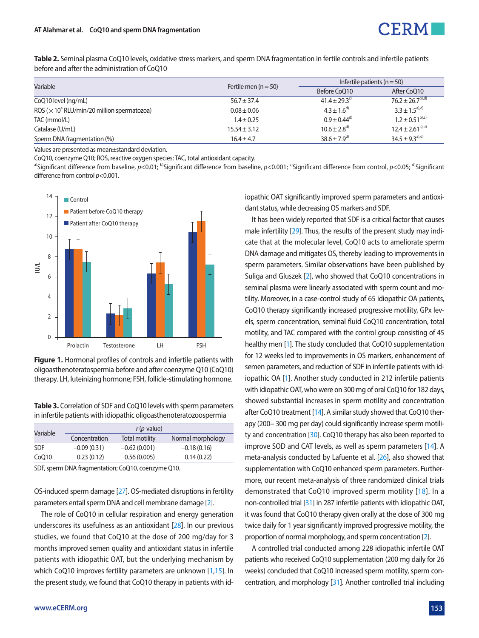

<span id="page-3-0"></span>**Table 2.** Seminal plasma CoQ10 levels, oxidative stress markers, and sperm DNA fragmentation in fertile controls and infertile patients before and after the administration of CoQ10

| Variable                                                       | Fertile men $(n = 50)$ | Infertile patients ( $n = 50$ ) |                        |
|----------------------------------------------------------------|------------------------|---------------------------------|------------------------|
|                                                                |                        | Before CoO10                    | After CoQ10            |
| CoQ10 level (ng/mL)                                            | $56.7 \pm 37.4$        | $41.4 \pm 29.3^{\circ}$         | $76.2 + 26.7^{b),d}$   |
| ROS ( $\times$ 10 <sup>4</sup> RLU/min/20 million spermatozoa) | $0.08 \pm 0.06$        | $4.3 + 1.6^{d}$                 | $3.3 + 1.5^{a}, d$     |
| TAC (mmol/L)                                                   | $1.4 \pm 0.25$         | $0.9 \pm 0.44^{d}$              | $1.2 \pm 0.51^{b,c}$   |
| Catalase (U/mL)                                                | $15.54 \pm 3.12$       | $10.6 \pm 2.8$ <sup>d)</sup>    | $12.4 \pm 2.61^{a),d}$ |
| Sperm DNA fragmentation (%)                                    | $16.4 \pm 4.7$         | $38.6 \pm 7.9^{d}$              | $34.5 \pm 9.3^{a),d}$  |

Values are presented as mean±standard deviation.

CoQ10, coenzyme Q10; ROS, reactive oxygen species; TAC, total antioxidant capacity.

a)Significant difference from baseline, *p*<0.01; <sup>b)</sup>Significant difference from baseline, *p*<0.001; <sup>c</sup>)Significant difference from control, *p*<0.05; <sup>d</sup>)Significant difference from control *p*<0.001.



<span id="page-3-1"></span>**Figure 1.** Hormonal profiles of controls and infertile patients with oligoasthenoteratospermia before and after coenzyme Q10 (CoQ10)

<span id="page-3-2"></span>**Table 3.** Correlation of SDF and CoQ10 levels with sperm parameters in infertile patients with idiopathic oligoasthenoteratozoospermia

| Variable   |               | $r(p$ -value)  |                   |
|------------|---------------|----------------|-------------------|
|            | Concentration | Total motility | Normal morphology |
| <b>SDF</b> | $-0.09(0.31)$ | $-0.62(0.001)$ | $-0.18(0.16)$     |
| CoO10      | 0.23(0.12)    | 0.56(0.005)    | 0.14(0.22)        |

SDF, sperm DNA fragmentation; CoQ10, coenzyme Q10.

OS-induced sperm damage [\[27](#page-5-15)]. OS-mediated disruptions in fertility parameters entail sperm DNA and cell membrane damage [\[2](#page-4-8)].

The role of CoQ10 in cellular respiration and energy generation underscores its usefulness as an antioxidant [\[28](#page-5-16)]. In our previous studies, we found that CoQ10 at the dose of 200 mg/day for 3 months improved semen quality and antioxidant status in infertile patients with idiopathic OAT, but the underlying mechanism by which CoQ10 improves fertility parameters are unknown [\[1](#page-4-7)[,15](#page-5-3)]. In the present study, we found that CoQ10 therapy in patients with id-

iopathic OAT significantly improved sperm parameters and antioxidant status, while decreasing OS markers and SDF.

It has been widely reported that SDF is a critical factor that causes male infertility [\[29](#page-5-17)]. Thus, the results of the present study may indicate that at the molecular level, CoQ10 acts to ameliorate sperm DNA damage and mitigates OS, thereby leading to improvements in sperm parameters. Similar observations have been published by Suliga and Gluszek [\[2\]](#page-4-8), who showed that CoQ10 concentrations in seminal plasma were linearly associated with sperm count and motility. Moreover, in a case-control study of 65 idiopathic OA patients, CoQ10 therapy significantly increased progressive motility, GPx levels, sperm concentration, seminal fluid CoQ10 concentration, total motility, and TAC compared with the control group consisting of 45 healthy men [\[1](#page-4-7)]. The study concluded that CoQ10 supplementation for 12 weeks led to improvements in OS markers, enhancement of semen parameters, and reduction of SDF in infertile patients with idiopathic OA [\[1\]](#page-4-7). Another study conducted in 212 infertile patients with idiopathic OAT, who were on 300 mg of oral CoQ10 for 182 days, showed substantial increases in sperm motility and concentration after CoQ10 treatment [\[14\]](#page-5-2). A similar study showed that CoQ10 therapy (200– 300 mg per day) could significantly increase sperm motili-ty and concentration [\[30\]](#page-5-18). CoQ10 therapy has also been reported to improve SOD and CAT levels, as well as sperm parameters [\[14\]](#page-5-2). A meta-analysis conducted by Lafuente et al. [\[26](#page-5-14)], also showed that supplementation with CoQ10 enhanced sperm parameters. Furthermore, our recent meta-analysis of three randomized clinical trials demonstrated that CoQ10 improved sperm motility [[18\]](#page-5-6). In a non-controlled trial [\[31\]](#page-5-19) in 287 infertile patients with idiopathic OAT, it was found that CoQ10 therapy given orally at the dose of 300 mg twice daily for 1 year significantly improved progressive motility, the proportion of normal morphology, and sperm concentration [\[2\]](#page-4-8).

A controlled trial conducted among 228 idiopathic infertile OAT patients who received CoQ10 supplementation (200 mg daily for 26 weeks) concluded that CoQ10 increased sperm motility, sperm concentration, and morphology [\[31\]](#page-5-19). Another controlled trial including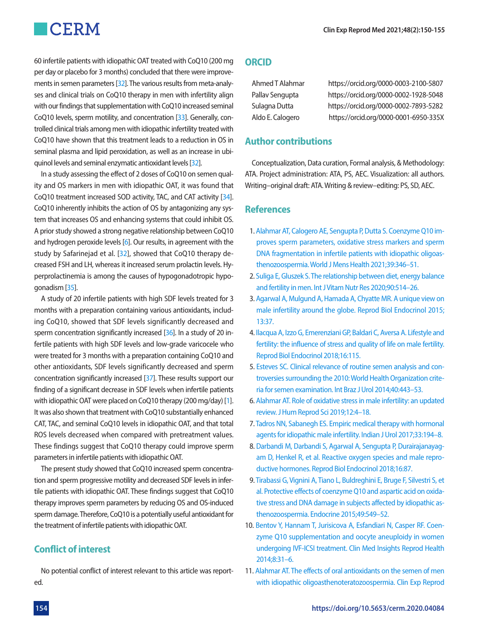# **CERM**

60 infertile patients with idiopathic OAT treated with CoQ10 (200 mg per day or placebo for 3 months) concluded that there were improvements in semen parameters [\[32](#page-5-20)]. The various results from meta-analyses and clinical trials on CoQ10 therapy in men with infertility align with our findings that supplementation with CoQ10 increased seminal CoQ10 levels, sperm motility, and concentration [\[33\]](#page-5-21). Generally, controlled clinical trials among men with idiopathic infertility treated with CoQ10 have shown that this treatment leads to a reduction in OS in seminal plasma and lipid peroxidation, as well as an increase in ubiquinol levels and seminal enzymatic antioxidant levels [\[32](#page-5-20)].

In a study assessing the effect of 2 doses of CoQ10 on semen quality and OS markers in men with idiopathic OAT, it was found that CoQ10 treatment increased SOD activity, TAC, and CAT activity [\[34\]](#page-5-22). CoQ10 inherently inhibits the action of OS by antagonizing any system that increases OS and enhancing systems that could inhibit OS. A prior study showed a strong negative relationship between CoQ10 and hydrogen peroxide levels [\[6](#page-4-1)]. Our results, in agreement with the study by Safarinejad et al. [\[32](#page-5-20)], showed that CoQ10 therapy decreased FSH and LH, whereas it increased serum prolactin levels. Hyperprolactinemia is among the causes of hypogonadotropic hypogonadism [\[35](#page-5-23)].

A study of 20 infertile patients with high SDF levels treated for 3 months with a preparation containing various antioxidants, including CoQ10, showed that SDF levels significantly decreased and sperm concentration significantly increased [\[36](#page-5-24)]. In a study of 20 infertile patients with high SDF levels and low-grade varicocele who were treated for 3 months with a preparation containing CoQ10 and other antioxidants, SDF levels significantly decreased and sperm concentration significantly increased [\[37](#page-5-25)]. These results support our finding of a significant decrease in SDF levels when infertile patients with idiopathic OAT were placed on CoQ10 therapy (200 mg/day) [1]. It was also shown that treatment with CoQ10 substantially enhanced CAT, TAC, and seminal CoQ10 levels in idiopathic OAT, and that total ROS levels decreased when compared with pretreatment values. These findings suggest that CoQ10 therapy could improve sperm parameters in infertile patients with idiopathic OAT.

The present study showed that CoQ10 increased sperm concentration and sperm progressive motility and decreased SDF levels in infertile patients with idiopathic OAT. These findings suggest that CoQ10 therapy improves sperm parameters by reducing OS and OS-induced sperm damage. Therefore, CoQ10 is a potentially useful antioxidant for the treatment of infertile patients with idiopathic OAT.

# **Conflict of interest**

No potential conflict of interest relevant to this article was reported.

### **ORCID**

| Ahmed T Alahmar  |  |
|------------------|--|
| Pallav Sengupta  |  |
| Sulagna Dutta    |  |
| Aldo E. Calogero |  |

[https://orcid.org/0000-0003-2100-5807](http://orcid.org/0000-0003-2100-5807) [https://orcid.org/0000-0002-1928-504](http://orcid.org/0000-0002-1928-5048)8 [https://orcid.org/0000-0002-7893-528](http://orcid.org/0000-0002-7893-5282)2 https://orcid.org/0000-0001-6950-335X

# **Author contributions**

Conceptualization, Data curation, Formal analysis, & Methodology: ATA. Project administration: ATA, PS, AEC. Visualization: all authors. Writing–original draft: ATA. Writing & review–editing: PS, SD, AEC.

# **References**

- <span id="page-4-7"></span>1. [Alahmar AT, Calogero AE, Sengupta P, Dutta S. Coenzyme Q10 im](https://doi.org/10.5534/wjmh.190145)[proves sperm parameters, oxidative stress markers and sperm](https://doi.org/10.5534/wjmh.190145)  [DNA fragmentation in infertile patients with idiopathic oligoas](https://doi.org/10.5534/wjmh.190145)[thenozoospermia. World J Mens Health](https://doi.org/10.5534/wjmh.190145) 2021;39:346–51.
- <span id="page-4-8"></span>2. Suliga E, Gluszek S. The relationship between diet, ene[rgy balance](https://doi.org/10.1024/0300-9831/a000577)  [and fertility in men. Int J Vitam Nutr Res 2020;90:514–26.](https://doi.org/10.1024/0300-9831/a000577)
- <span id="page-4-9"></span>[3. Agarwal A, Mulgund A, Hamada A, Chyatte MR. A unique view on](https://doi.org/10.1186/s12958-015-0032-1)  [male infertility around the globe. Reprod Biol Endocrinol 2015;](https://doi.org/10.1186/s12958-015-0032-1) [13:37.](https://doi.org/10.1186/s12958-015-0032-1)
- <span id="page-4-0"></span>4. Ilacqua A, Izzo G, Eme[renziani GP, Baldari C, Aversa A. Lifestyle and](https://doi.org/10.1186/s12958-018-0436-9)  [fertility: the influence of stress and quality of life on male fertility.](https://doi.org/10.1186/s12958-018-0436-9)  [Reprod Biol Endocrinol 2018;16:115.](https://doi.org/10.1186/s12958-018-0436-9)
- 5. [Esteves SC. Clinical relevance of routine semen analysis and con](https://doi.org/10.1590/s1677-5538.ibju.2014.04.02)[troversies surrounding the 2010: World Health Organization crite](https://doi.org/10.1590/s1677-5538.ibju.2014.04.02)[ria for semen examination. Int Braz J Urol 2014;40:443–53.](https://doi.org/10.1590/s1677-5538.ibju.2014.04.02)
- <span id="page-4-1"></span>6. [Alahmar AT. Role of oxidative stress in male infertility: an updated](https://doi.org/10.4103/jhrs.jhrs_150_18)  [review. J Hum Reprod Sci 2019;12:4–18.](https://doi.org/10.4103/jhrs.jhrs_150_18)
- <span id="page-4-2"></span>[7. Tadros NN, Sabanegh ES. Empiric medical therapy with hormonal](https://doi.org/10.4103/iju.iju_368_16)  [agents for idiopathic male infertility. Indian J Urol 2017;33:194–8.](https://doi.org/10.4103/iju.iju_368_16)
- <span id="page-4-3"></span>8. Darbandi M, Darbandi S, Agarwal A, Sengupta [P, Durairajanayag](https://doi.org/10.1186/s12958-018-0406-2)[am D, Henkel R, et al. Reactive oxygen species and male repro](https://doi.org/10.1186/s12958-018-0406-2)[ductive hormones. Reprod Biol Endocrinol 2018;16:87.](https://doi.org/10.1186/s12958-018-0406-2)
- <span id="page-4-4"></span>[9. Tirabassi G, Vignini A, Tiano L, Buldreghini E, Bruge F, Silvestri S, et](https://doi.org/10.1007/s12020-014-0432-6)  [al. Protective effects of coenzyme Q10 and aspartic acid on oxida](https://doi.org/10.1007/s12020-014-0432-6)[tive stress and DNA damage in subjects affected by idiopathic as](https://doi.org/10.1007/s12020-014-0432-6)[thenozoospermia. Endocrin](https://doi.org/10.1007/s12020-014-0432-6)e 2015;49:549–52.
- <span id="page-4-5"></span>1[0. Bentov Y, Hannam T, Jurisicova A, Esfandiari N, Casper RF. Coen](https://doi.org/10.4137/cmrh.s14681)[zyme Q10 supplementation and oocyte aneuploidy in women](https://doi.org/10.4137/cmrh.s14681)  [undergoing IVF-ICSI treatment. Clin Med Insights Reprod Health](https://doi.org/10.4137/cmrh.s14681)  [2014;8:31–6](https://doi.org/10.4137/cmrh.s14681).
- <span id="page-4-6"></span>11. [Alahmar AT. The effects of oral antioxidants on the semen of men](https://doi.org/10.5653/cerm.2018.45.2.57)  [with idiopathic oligoasthenoteratozoospermia. Clin Exp Reprod](https://doi.org/10.5653/cerm.2018.45.2.57)